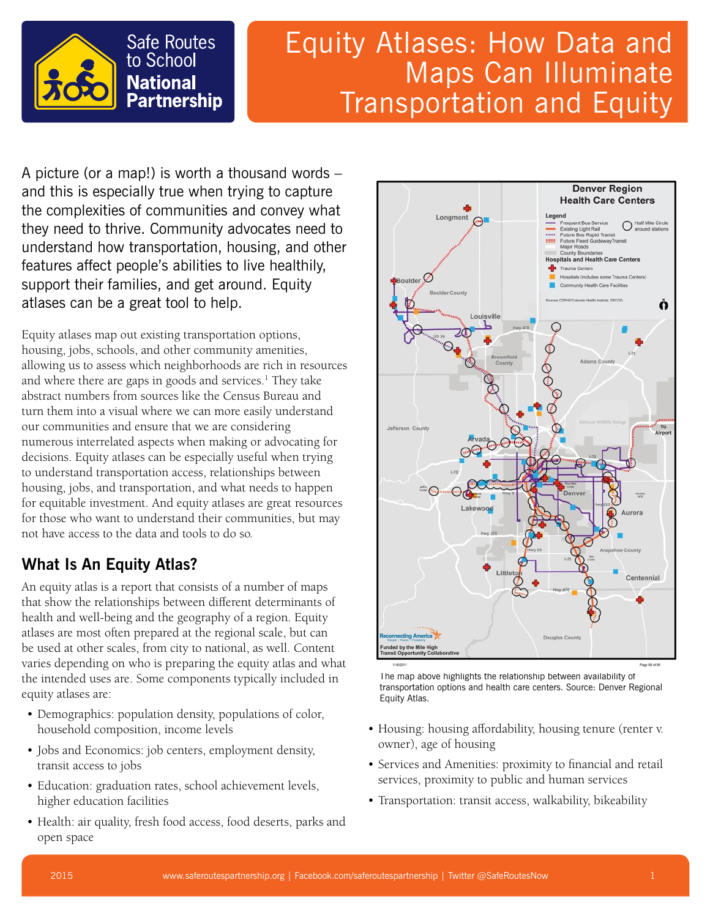

# Equity Atlases: How Data and Maps Can Illuminate Transportation and Equity

A picture (or a map!) is worth a thousand words – and this is especially true when trying to capture the complexities of communities and convey what they need to thrive. Community advocates need to understand how transportation, housing, and other features affect people's abilities to live healthily, support their families, and get around. Equity atlases can be a great tool to help.

Equity atlases map out existing transportation options, housing, jobs, schools, and other community amenities, allowing us to assess which neighborhoods are rich in resources and where there are gaps in goods and services.<sup>1</sup> They take abstract numbers from sources like the Census Bureau and turn them into a visual where we can more easily understand our communities and ensure that we are considering numerous interrelated aspects when making or advocating for decisions. Equity atlases can be especially useful when trying to understand transportation access, relationships between housing, jobs, and transportation, and what needs to happen for equitable investment. And equity atlases are great resources for those who want to understand their communities, but may not have access to the data and tools to do so.

## **What Is An Equity Atlas?**

An equity atlas is a report that consists of a number of maps that show the relationships between different determinants of health and well-being and the geography of a region. Equity atlases are most often prepared at the regional scale, but can be used at other scales, from city to national, as well. Content varies depending on who is preparing the equity atlas and what the intended uses are. Some components typically included in equity atlases are:

- Demographics: population density, populations of color, household composition, income levels
- Jobs and Economics: job centers, employment density, transit access to jobs
- Education: graduation rates, school achievement levels, higher education facilities
- Health: air quality, fresh food access, food deserts, parks and open space



The map above highlights the relationship between availability of transportation options and health care centers. Source: Denver Regional Equity Atlas.

- Housing: housing affordability, housing tenure (renter v. owner), age of housing
- Services and Amenities: proximity to financial and retail services, proximity to public and human services
- Transportation: transit access, walkability, bikeability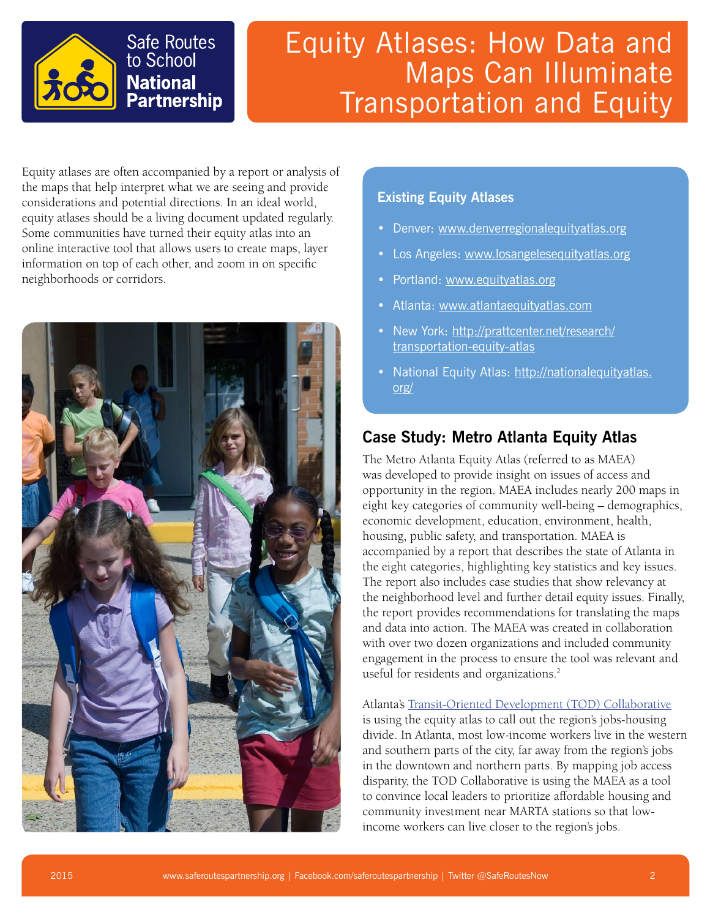

# Equity Atlases: How Data and Maps Can Illuminate Transportation and Equity

Equity atlases are often accompanied by a report or analysis of the maps that help interpret what we are seeing and provide considerations and potential directions. In an ideal world, equity atlases should be a living document updated regularly. Some communities have turned their equity atlas into an online interactive tool that allows users to create maps, layer information on top of each other, and zoom in on specific neighborhoods or corridors.



#### **Existing Equity Atlases**

- Denver: [www.denverregionalequityatlas.org](http://www.denverregionalequityatlas.org)
- Los Angeles: [www.losangelesequityatlas.org](http://www.losangelesequityatlas.org)
- Portland: [www.equityatlas.org](http://www.equityatlas.org)
- Atlanta: [www.atlantaequityatlas.com](http://www.atlantaequityatlas.com)
- New York: [http://prattcenter.net/research/](http://prattcenter.net/research/transportation-equity-atlas) [transportation-equity-atlas](http://prattcenter.net/research/transportation-equity-atlas)
- National Equity Atlas: [http://nationalequityatlas.](http://nationalequityatlas.org/) [org/](http://nationalequityatlas.org/)

### **Case Study: Metro Atlanta Equity Atlas**

The Metro Atlanta Equity Atlas (referred to as MAEA) was developed to provide insight on issues of access and opportunity in the region. MAEA includes nearly 200 maps in eight key categories of community well-being – demographics, economic development, education, environment, health, housing, public safety, and transportation. MAEA is accompanied by a report that describes the state of Atlanta in the eight categories, highlighting key statistics and key issues. The report also includes case studies that show relevancy at the neighborhood level and further detail equity issues. Finally, the report provides recommendations for translating the maps and data into action. The MAEA was created in collaboration with over two dozen organizations and included community engagement in the process to ensure the tool was relevant and useful for residents and organizations.<sup>2</sup>

Atlanta's [Transit-Oriented Development \(TOD\) Collaborative](http://www.atlantaregional.com/land-use/transit-oriented-development/atlanta-tod-collaborative)

is using the equity atlas to call out the region's jobs-housing divide. In Atlanta, most low-income workers live in the western and southern parts of the city, far away from the region's jobs in the downtown and northern parts. By mapping job access disparity, the TOD Collaborative is using the MAEA as a tool to convince local leaders to prioritize affordable housing and community investment near MARTA stations so that lowincome workers can live closer to the region's jobs.